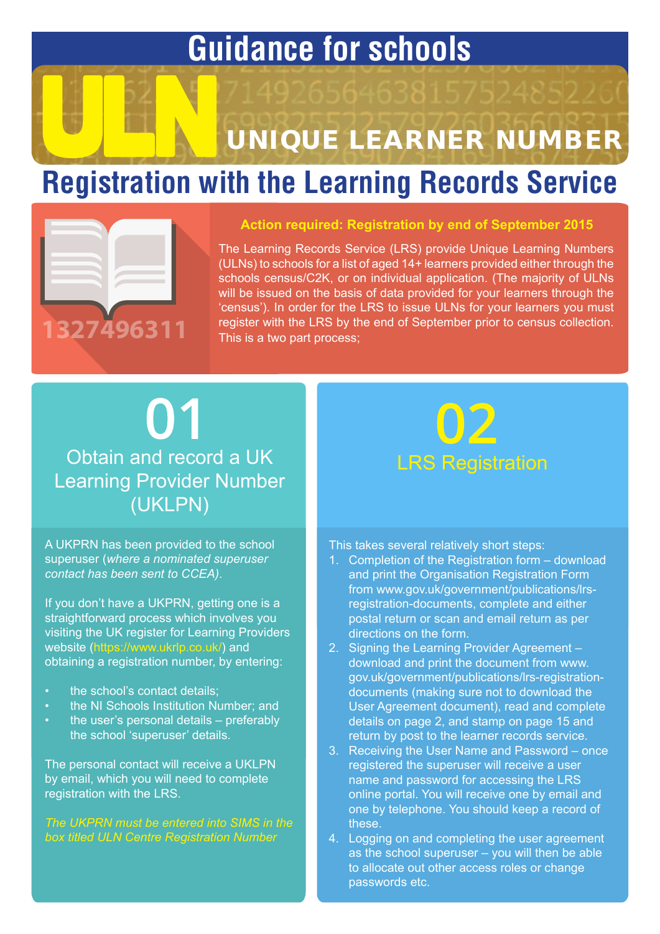## **Guidance for schools**

# UNIQUE LEARNER NUMBER

## **Registration with the Learning Records Service**



#### **Action required: Registration by end of September 2015**

The Learning Records Service (LRS) provide Unique Learning Numbers (ULNs) to schools for a list of aged 14+ learners provided either through the schools census/C2K, or on individual application. (The majority of ULNs will be issued on the basis of data provided for your learners through the 'census'). In order for the LRS to issue ULNs for your learners you must register with the LRS by the end of September prior to census collection. This is a two part process;

### 01 Obtain and record a UK Learning Provider Number (UKLPN)

A UKPRN has been provided to the school superuser (*where a nominated superuser contact has been sent to CCEA)*.

If you don't have a UKPRN, getting one is a straightforward process which involves you visiting the UK register for Learning Providers website (<https://www.ukrlp.co.uk/>) and obtaining a registration number, by entering:

- the school's contact details:
- the NI Schools Institution Number; and
- the user's personal details preferably the school 'superuser' details.

The personal contact will receive a UKLPN by email, which you will need to complete registration with the LRS.

*The UKPRN must be entered into SIMS in the box titled ULN Centre Registration Number*



This takes several relatively short steps:

- 1. Completion of the Registration form download and print the Organisation Registration Form from www.gov.uk/government/publications/lrsregistration-documents, complete and either postal return or scan and email return as per directions on the form.
- 2. Signing the Learning Provider Agreement download and print the document from www. gov.uk/government/publications/lrs-registrationdocuments (making sure not to download the User Agreement document), read and complete details on page 2, and stamp on page 15 and return by post to the learner records service.
- 3. Receiving the User Name and Password once registered the superuser will receive a user name and password for accessing the LRS online portal. You will receive one by email and one by telephone. You should keep a record of these.
- 4. Logging on and completing the user agreement as the school superuser – you will then be able to allocate out other access roles or change passwords etc.